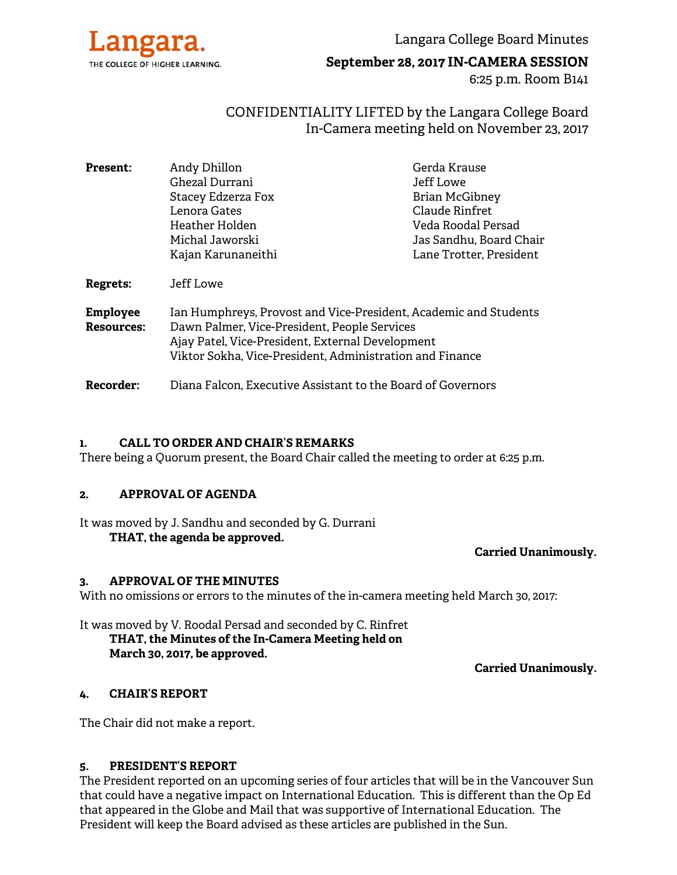

Langara College Board Minutes

**September 28, 2017 IN-CAMERA SESSION** 

6:25 p.m. Room B141

# CONFIDENTIALITY LIFTED by the Langara College Board In-Camera meeting held on November 23, 2017

| <b>Present:</b>                      | Andy Dhillon                                                                                                                                                                                                                     | Gerda Krause            |
|--------------------------------------|----------------------------------------------------------------------------------------------------------------------------------------------------------------------------------------------------------------------------------|-------------------------|
|                                      | Ghezal Durrani                                                                                                                                                                                                                   | Jeff Lowe               |
|                                      | Stacey Edzerza Fox                                                                                                                                                                                                               | <b>Brian McGibney</b>   |
|                                      | Lenora Gates                                                                                                                                                                                                                     | Claude Rinfret          |
|                                      | Heather Holden                                                                                                                                                                                                                   | Veda Roodal Persad      |
|                                      | Michal Jaworski                                                                                                                                                                                                                  | Jas Sandhu, Board Chair |
|                                      | Kajan Karunaneithi                                                                                                                                                                                                               | Lane Trotter, President |
| <b>Regrets:</b>                      | Jeff Lowe                                                                                                                                                                                                                        |                         |
| <b>Employee</b><br><b>Resources:</b> | Ian Humphreys, Provost and Vice-President, Academic and Students<br>Dawn Palmer, Vice-President, People Services<br>Ajay Patel, Vice-President, External Development<br>Viktor Sokha, Vice-President, Administration and Finance |                         |
| Recorder:                            | Diana Falcon, Executive Assistant to the Board of Governors                                                                                                                                                                      |                         |

# **1. CALL TO ORDER AND CHAIR'S REMARKS**

There being a Quorum present, the Board Chair called the meeting to order at 6:25 p.m.

#### **2. APPROVAL OF AGENDA**

It was moved by J. Sandhu and seconded by G. Durrani **THAT, the agenda be approved.** 

#### **Carried Unanimously.**

#### **3. APPROVAL OF THE MINUTES**

With no omissions or errors to the minutes of the in-camera meeting held March 30, 2017:

It was moved by V. Roodal Persad and seconded by C. Rinfret  **THAT, the Minutes of the In-Camera Meeting held on March 30, 2017, be approved.** 

**Carried Unanimously.** 

#### **4. CHAIR'S REPORT**

The Chair did not make a report.

#### **5. PRESIDENT'S REPORT**

The President reported on an upcoming series of four articles that will be in the Vancouver Sun that could have a negative impact on International Education. This is different than the Op Ed that appeared in the Globe and Mail that was supportive of International Education. The President will keep the Board advised as these articles are published in the Sun.